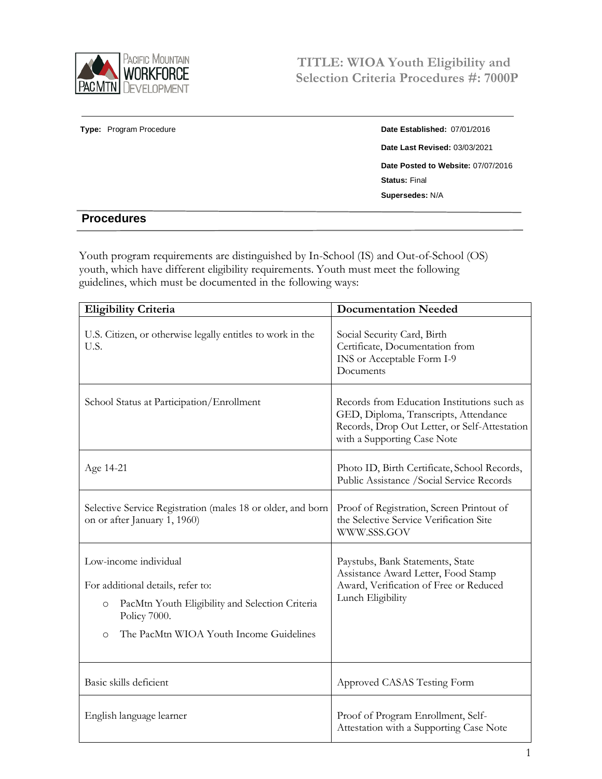

## **Type:** Program Procedure **Date Established:** 07/01/2016 **Date Last Revised:** 03/03/2021 **Date Posted to Website:** 07/07/2016 **Status:** Final **Supersedes:** N/A

## **Procedures**

Youth program requirements are distinguished by In-School (IS) and Out-of-School (OS) youth, which have different eligibility requirements. Youth must meet the following guidelines, which must be documented in the following ways:

| <b>Eligibility Criteria</b>                                                                 | <b>Documentation Needed</b>                                                                                                                                          |
|---------------------------------------------------------------------------------------------|----------------------------------------------------------------------------------------------------------------------------------------------------------------------|
| U.S. Citizen, or otherwise legally entitles to work in the<br>U.S.                          | Social Security Card, Birth<br>Certificate, Documentation from<br>INS or Acceptable Form I-9<br>Documents                                                            |
| School Status at Participation/Enrollment                                                   | Records from Education Institutions such as<br>GED, Diploma, Transcripts, Attendance<br>Records, Drop Out Letter, or Self-Attestation<br>with a Supporting Case Note |
| Age 14-21                                                                                   | Photo ID, Birth Certificate, School Records,<br>Public Assistance / Social Service Records                                                                           |
| Selective Service Registration (males 18 or older, and born<br>on or after January 1, 1960) | Proof of Registration, Screen Printout of<br>the Selective Service Verification Site<br>WWW.SSS.GOV                                                                  |
| Low-income individual                                                                       | Paystubs, Bank Statements, State<br>Assistance Award Letter, Food Stamp<br>Award, Verification of Free or Reduced<br>Lunch Eligibility                               |
| For additional details, refer to:                                                           |                                                                                                                                                                      |
| PacMtn Youth Eligibility and Selection Criteria<br>$\circ$<br>Policy 7000.                  |                                                                                                                                                                      |
| The PacMtn WIOA Youth Income Guidelines<br>$\circ$                                          |                                                                                                                                                                      |
| Basic skills deficient                                                                      | Approved CASAS Testing Form                                                                                                                                          |
| English language learner                                                                    | Proof of Program Enrollment, Self-<br>Attestation with a Supporting Case Note                                                                                        |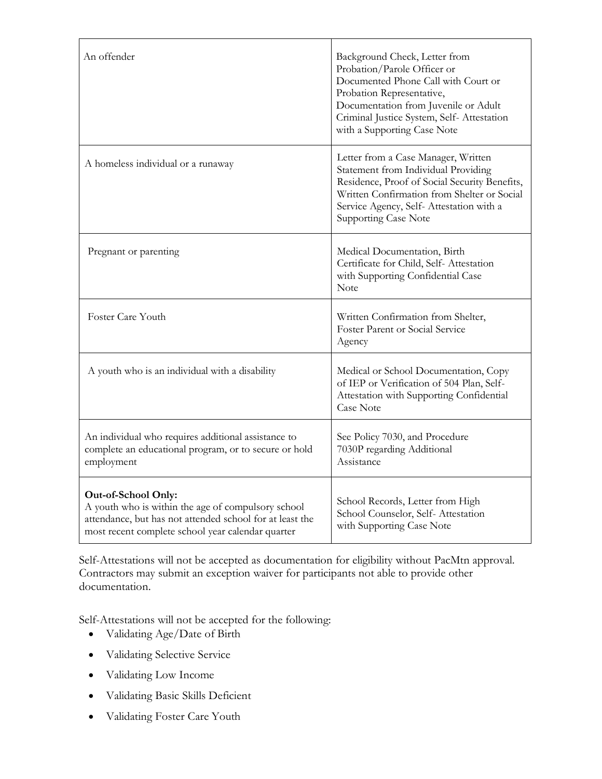| An offender                                                                                                                                                                                | Background Check, Letter from<br>Probation/Parole Officer or<br>Documented Phone Call with Court or<br>Probation Representative,<br>Documentation from Juvenile or Adult<br>Criminal Justice System, Self- Attestation<br>with a Supporting Case Note |
|--------------------------------------------------------------------------------------------------------------------------------------------------------------------------------------------|-------------------------------------------------------------------------------------------------------------------------------------------------------------------------------------------------------------------------------------------------------|
| A homeless individual or a runaway                                                                                                                                                         | Letter from a Case Manager, Written<br>Statement from Individual Providing<br>Residence, Proof of Social Security Benefits,<br>Written Confirmation from Shelter or Social<br>Service Agency, Self-Attestation with a<br><b>Supporting Case Note</b>  |
| Pregnant or parenting                                                                                                                                                                      | Medical Documentation, Birth<br>Certificate for Child, Self-Attestation<br>with Supporting Confidential Case<br>Note                                                                                                                                  |
| Foster Care Youth                                                                                                                                                                          | Written Confirmation from Shelter,<br>Foster Parent or Social Service<br>Agency                                                                                                                                                                       |
| A youth who is an individual with a disability                                                                                                                                             | Medical or School Documentation, Copy<br>of IEP or Verification of 504 Plan, Self-<br>Attestation with Supporting Confidential<br><b>Case Note</b>                                                                                                    |
| An individual who requires additional assistance to<br>complete an educational program, or to secure or hold<br>employment                                                                 | See Policy 7030, and Procedure<br>7030P regarding Additional<br>Assistance                                                                                                                                                                            |
| Out-of-School Only:<br>A youth who is within the age of compulsory school<br>attendance, but has not attended school for at least the<br>most recent complete school year calendar quarter | School Records, Letter from High<br>School Counselor, Self-Attestation<br>with Supporting Case Note                                                                                                                                                   |

Self-Attestations will not be accepted as documentation for eligibility without PacMtn approval. Contractors may submit an exception waiver for participants not able to provide other documentation.

Self-Attestations will not be accepted for the following:

- Validating Age/Date of Birth
- Validating Selective Service
- Validating Low Income
- Validating Basic Skills Deficient
- Validating Foster Care Youth